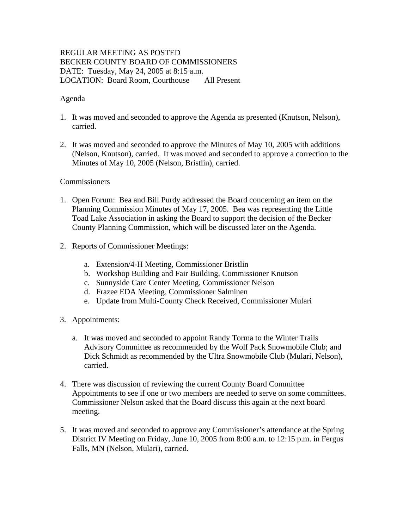# REGULAR MEETING AS POSTED BECKER COUNTY BOARD OF COMMISSIONERS DATE: Tuesday, May 24, 2005 at 8:15 a.m. LOCATION: Board Room, Courthouse All Present

### Agenda

- 1. It was moved and seconded to approve the Agenda as presented (Knutson, Nelson), carried.
- 2. It was moved and seconded to approve the Minutes of May 10, 2005 with additions (Nelson, Knutson), carried. It was moved and seconded to approve a correction to the Minutes of May 10, 2005 (Nelson, Bristlin), carried.

### Commissioners

- 1. Open Forum: Bea and Bill Purdy addressed the Board concerning an item on the Planning Commission Minutes of May 17, 2005. Bea was representing the Little Toad Lake Association in asking the Board to support the decision of the Becker County Planning Commission, which will be discussed later on the Agenda.
- 2. Reports of Commissioner Meetings:
	- a. Extension/4-H Meeting, Commissioner Bristlin
	- b. Workshop Building and Fair Building, Commissioner Knutson
	- c. Sunnyside Care Center Meeting, Commissioner Nelson
	- d. Frazee EDA Meeting, Commissioner Salminen
	- e. Update from Multi-County Check Received, Commissioner Mulari
- 3. Appointments:
	- a. It was moved and seconded to appoint Randy Torma to the Winter Trails Advisory Committee as recommended by the Wolf Pack Snowmobile Club; and Dick Schmidt as recommended by the Ultra Snowmobile Club (Mulari, Nelson), carried.
- 4. There was discussion of reviewing the current County Board Committee Appointments to see if one or two members are needed to serve on some committees. Commissioner Nelson asked that the Board discuss this again at the next board meeting.
- 5. It was moved and seconded to approve any Commissioner's attendance at the Spring District IV Meeting on Friday, June 10, 2005 from 8:00 a.m. to 12:15 p.m. in Fergus Falls, MN (Nelson, Mulari), carried.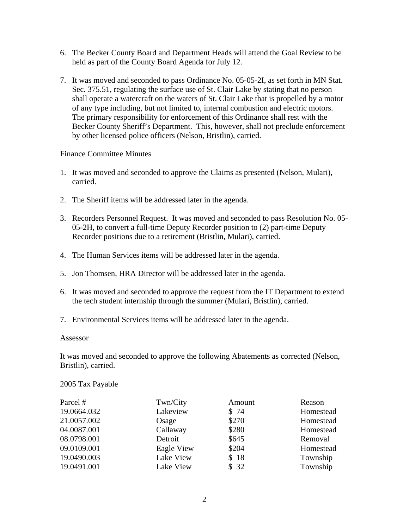- 6. The Becker County Board and Department Heads will attend the Goal Review to be held as part of the County Board Agenda for July 12.
- 7. It was moved and seconded to pass Ordinance No. 05-05-2I, as set forth in MN Stat. Sec. 375.51, regulating the surface use of St. Clair Lake by stating that no person shall operate a watercraft on the waters of St. Clair Lake that is propelled by a motor of any type including, but not limited to, internal combustion and electric motors. The primary responsibility for enforcement of this Ordinance shall rest with the Becker County Sheriff's Department. This, however, shall not preclude enforcement by other licensed police officers (Nelson, Bristlin), carried.

### Finance Committee Minutes

- 1. It was moved and seconded to approve the Claims as presented (Nelson, Mulari), carried.
- 2. The Sheriff items will be addressed later in the agenda.
- 3. Recorders Personnel Request. It was moved and seconded to pass Resolution No. 05- 05-2H, to convert a full-time Deputy Recorder position to (2) part-time Deputy Recorder positions due to a retirement (Bristlin, Mulari), carried.
- 4. The Human Services items will be addressed later in the agenda.
- 5. Jon Thomsen, HRA Director will be addressed later in the agenda.
- 6. It was moved and seconded to approve the request from the IT Department to extend the tech student internship through the summer (Mulari, Bristlin), carried.
- 7. Environmental Services items will be addressed later in the agenda.

### Assessor

It was moved and seconded to approve the following Abatements as corrected (Nelson, Bristlin), carried.

2005 Tax Payable

| Parcel #    | Twn/City   | Amount | Reason    |
|-------------|------------|--------|-----------|
| 19.0664.032 | Lakeview   | \$74   | Homestead |
| 21.0057.002 | Osage      | \$270  | Homestead |
| 04.0087.001 | Callaway   | \$280  | Homestead |
| 08.0798.001 | Detroit    | \$645  | Removal   |
| 09.0109.001 | Eagle View | \$204  | Homestead |
| 19.0490.003 | Lake View  | \$18   | Township  |
| 19.0491.001 | Lake View  | \$32   | Township  |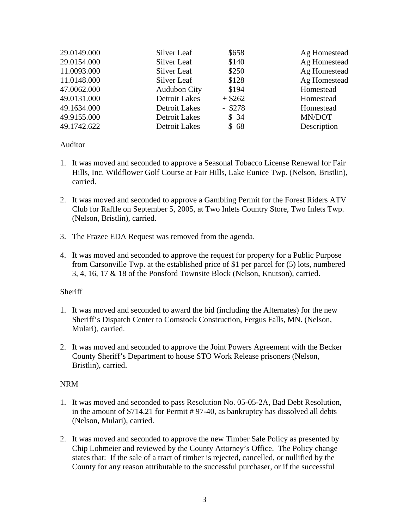| 29.0149.000 | Silver Leaf          | \$658     | Ag Homestead |
|-------------|----------------------|-----------|--------------|
| 29.0154.000 | Silver Leaf          | \$140     | Ag Homestead |
| 11.0093.000 | Silver Leaf          | \$250     | Ag Homestead |
| 11.0148.000 | Silver Leaf          | \$128     | Ag Homestead |
| 47.0062.000 | <b>Audubon City</b>  | \$194     | Homestead    |
| 49.0131.000 | Detroit Lakes        | $+$ \$262 | Homestead    |
| 49.1634.000 | <b>Detroit Lakes</b> | $-$ \$278 | Homestead    |
| 49.9155.000 | <b>Detroit Lakes</b> | \$34      | MN/DOT       |
| 49.1742.622 | <b>Detroit Lakes</b> | \$68      | Description  |

### Auditor

- 1. It was moved and seconded to approve a Seasonal Tobacco License Renewal for Fair Hills, Inc. Wildflower Golf Course at Fair Hills, Lake Eunice Twp. (Nelson, Bristlin), carried.
- 2. It was moved and seconded to approve a Gambling Permit for the Forest Riders ATV Club for Raffle on September 5, 2005, at Two Inlets Country Store, Two Inlets Twp. (Nelson, Bristlin), carried.
- 3. The Frazee EDA Request was removed from the agenda.
- 4. It was moved and seconded to approve the request for property for a Public Purpose from Carsonville Twp. at the established price of \$1 per parcel for (5) lots, numbered 3, 4, 16, 17 & 18 of the Ponsford Townsite Block (Nelson, Knutson), carried.

# **Sheriff**

- 1. It was moved and seconded to award the bid (including the Alternates) for the new Sheriff's Dispatch Center to Comstock Construction, Fergus Falls, MN. (Nelson, Mulari), carried.
- 2. It was moved and seconded to approve the Joint Powers Agreement with the Becker County Sheriff's Department to house STO Work Release prisoners (Nelson, Bristlin), carried.

# NRM

- 1. It was moved and seconded to pass Resolution No. 05-05-2A, Bad Debt Resolution, in the amount of \$714.21 for Permit # 97-40, as bankruptcy has dissolved all debts (Nelson, Mulari), carried.
- 2. It was moved and seconded to approve the new Timber Sale Policy as presented by Chip Lohmeier and reviewed by the County Attorney's Office. The Policy change states that: If the sale of a tract of timber is rejected, cancelled, or nullified by the County for any reason attributable to the successful purchaser, or if the successful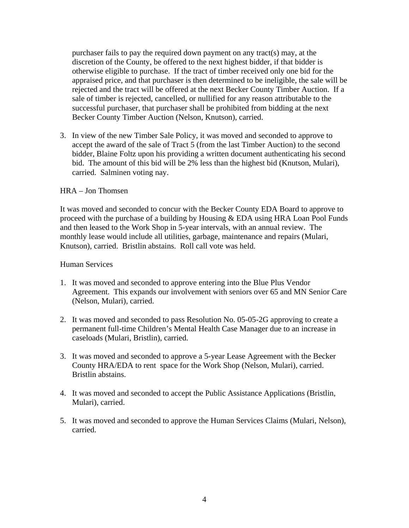purchaser fails to pay the required down payment on any tract(s) may, at the discretion of the County, be offered to the next highest bidder, if that bidder is otherwise eligible to purchase. If the tract of timber received only one bid for the appraised price, and that purchaser is then determined to be ineligible, the sale will be rejected and the tract will be offered at the next Becker County Timber Auction. If a sale of timber is rejected, cancelled, or nullified for any reason attributable to the successful purchaser, that purchaser shall be prohibited from bidding at the next Becker County Timber Auction (Nelson, Knutson), carried.

3. In view of the new Timber Sale Policy, it was moved and seconded to approve to accept the award of the sale of Tract 5 (from the last Timber Auction) to the second bidder, Blaine Foltz upon his providing a written document authenticating his second bid. The amount of this bid will be 2% less than the highest bid (Knutson, Mulari), carried. Salminen voting nay.

### HRA – Jon Thomsen

It was moved and seconded to concur with the Becker County EDA Board to approve to proceed with the purchase of a building by Housing & EDA using HRA Loan Pool Funds and then leased to the Work Shop in 5-year intervals, with an annual review. The monthly lease would include all utilities, garbage, maintenance and repairs (Mulari, Knutson), carried. Bristlin abstains. Roll call vote was held.

#### Human Services

- 1. It was moved and seconded to approve entering into the Blue Plus Vendor Agreement. This expands our involvement with seniors over 65 and MN Senior Care (Nelson, Mulari), carried.
- 2. It was moved and seconded to pass Resolution No. 05-05-2G approving to create a permanent full-time Children's Mental Health Case Manager due to an increase in caseloads (Mulari, Bristlin), carried.
- 3. It was moved and seconded to approve a 5-year Lease Agreement with the Becker County HRA/EDA to rent space for the Work Shop (Nelson, Mulari), carried. Bristlin abstains.
- 4. It was moved and seconded to accept the Public Assistance Applications (Bristlin, Mulari), carried.
- 5. It was moved and seconded to approve the Human Services Claims (Mulari, Nelson), carried.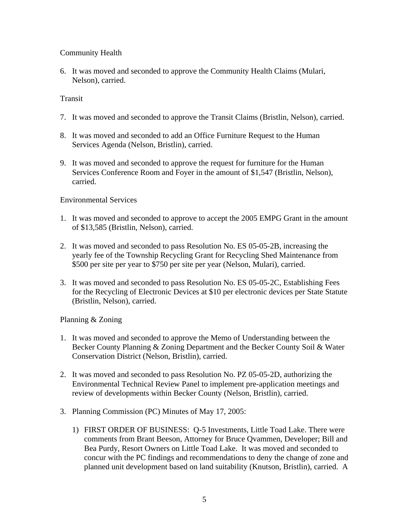# Community Health

6. It was moved and seconded to approve the Community Health Claims (Mulari, Nelson), carried.

### Transit

- 7. It was moved and seconded to approve the Transit Claims (Bristlin, Nelson), carried.
- 8. It was moved and seconded to add an Office Furniture Request to the Human Services Agenda (Nelson, Bristlin), carried.
- 9. It was moved and seconded to approve the request for furniture for the Human Services Conference Room and Foyer in the amount of \$1,547 (Bristlin, Nelson), carried.

### Environmental Services

- 1. It was moved and seconded to approve to accept the 2005 EMPG Grant in the amount of \$13,585 (Bristlin, Nelson), carried.
- 2. It was moved and seconded to pass Resolution No. ES 05-05-2B, increasing the yearly fee of the Township Recycling Grant for Recycling Shed Maintenance from \$500 per site per year to \$750 per site per year (Nelson, Mulari), carried.
- 3. It was moved and seconded to pass Resolution No. ES 05-05-2C, Establishing Fees for the Recycling of Electronic Devices at \$10 per electronic devices per State Statute (Bristlin, Nelson), carried.

# Planning & Zoning

- 1. It was moved and seconded to approve the Memo of Understanding between the Becker County Planning & Zoning Department and the Becker County Soil & Water Conservation District (Nelson, Bristlin), carried.
- 2. It was moved and seconded to pass Resolution No. PZ 05-05-2D, authorizing the Environmental Technical Review Panel to implement pre-application meetings and review of developments within Becker County (Nelson, Bristlin), carried.
- 3. Planning Commission (PC) Minutes of May 17, 2005:
	- 1) FIRST ORDER OF BUSINESS: Q-5 Investments, Little Toad Lake. There were comments from Brant Beeson, Attorney for Bruce Qvammen, Developer; Bill and Bea Purdy, Resort Owners on Little Toad Lake. It was moved and seconded to concur with the PC findings and recommendations to deny the change of zone and planned unit development based on land suitability (Knutson, Bristlin), carried. A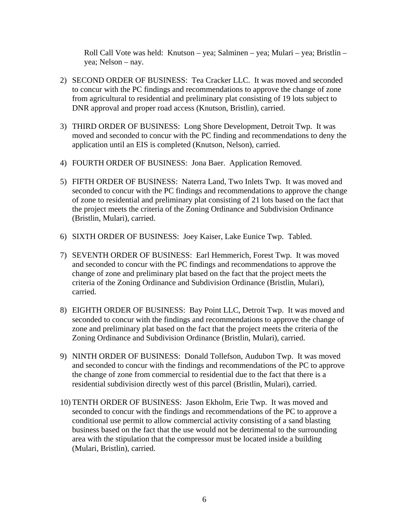Roll Call Vote was held: Knutson – yea; Salminen – yea; Mulari – yea; Bristlin – yea; Nelson – nay.

- 2) SECOND ORDER OF BUSINESS: Tea Cracker LLC. It was moved and seconded to concur with the PC findings and recommendations to approve the change of zone from agricultural to residential and preliminary plat consisting of 19 lots subject to DNR approval and proper road access (Knutson, Bristlin), carried.
- 3) THIRD ORDER OF BUSINESS: Long Shore Development, Detroit Twp. It was moved and seconded to concur with the PC finding and recommendations to deny the application until an EIS is completed (Knutson, Nelson), carried.
- 4) FOURTH ORDER OF BUSINESS: Jona Baer. Application Removed.
- 5) FIFTH ORDER OF BUSINESS: Naterra Land, Two Inlets Twp. It was moved and seconded to concur with the PC findings and recommendations to approve the change of zone to residential and preliminary plat consisting of 21 lots based on the fact that the project meets the criteria of the Zoning Ordinance and Subdivision Ordinance (Bristlin, Mulari), carried.
- 6) SIXTH ORDER OF BUSINESS: Joey Kaiser, Lake Eunice Twp. Tabled.
- 7) SEVENTH ORDER OF BUSINESS: Earl Hemmerich, Forest Twp. It was moved and seconded to concur with the PC findings and recommendations to approve the change of zone and preliminary plat based on the fact that the project meets the criteria of the Zoning Ordinance and Subdivision Ordinance (Bristlin, Mulari), carried.
- 8) EIGHTH ORDER OF BUSINESS: Bay Point LLC, Detroit Twp. It was moved and seconded to concur with the findings and recommendations to approve the change of zone and preliminary plat based on the fact that the project meets the criteria of the Zoning Ordinance and Subdivision Ordinance (Bristlin, Mulari), carried.
- 9) NINTH ORDER OF BUSINESS: Donald Tollefson, Audubon Twp. It was moved and seconded to concur with the findings and recommendations of the PC to approve the change of zone from commercial to residential due to the fact that there is a residential subdivision directly west of this parcel (Bristlin, Mulari), carried.
- 10) TENTH ORDER OF BUSINESS: Jason Ekholm, Erie Twp. It was moved and seconded to concur with the findings and recommendations of the PC to approve a conditional use permit to allow commercial activity consisting of a sand blasting business based on the fact that the use would not be detrimental to the surrounding area with the stipulation that the compressor must be located inside a building (Mulari, Bristlin), carried.